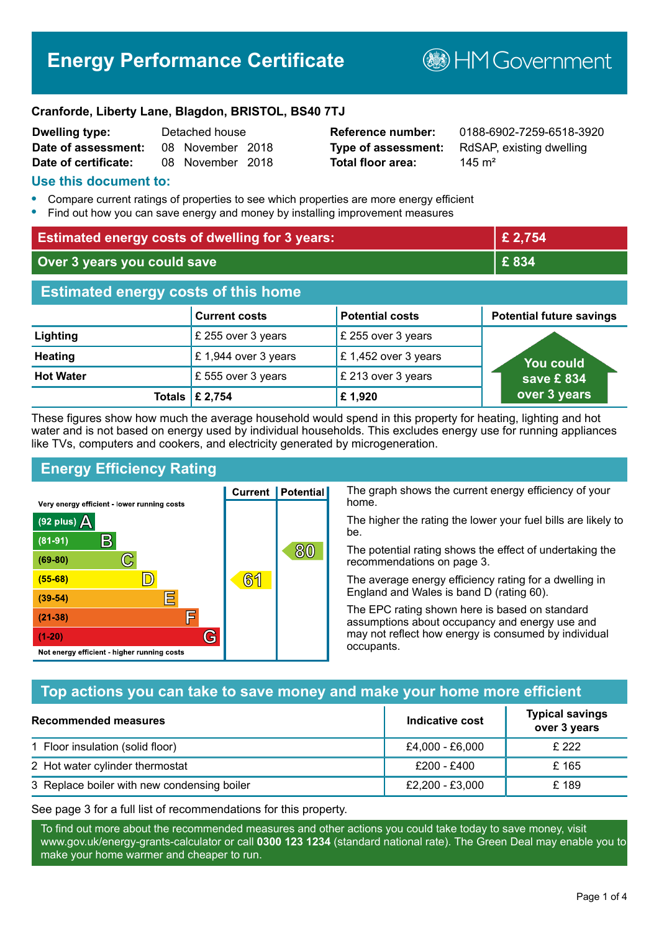# **Energy Performance Certificate**

**B**HM Government

#### **Cranforde, Liberty Lane, Blagdon, BRISTOL, BS40 7TJ**

| <b>Dwelling type:</b> | Detached house |                  |  |
|-----------------------|----------------|------------------|--|
| Date of assessment:   |                | 08 November 2018 |  |
| Date of certificate:  |                | 08 November 2018 |  |

**Total floor area:** 145 m<sup>2</sup>

**Reference number:** 0188-6902-7259-6518-3920 **Type of assessment:** RdSAP, existing dwelling

#### **Use this document to:**

- **•** Compare current ratings of properties to see which properties are more energy efficient
- **•** Find out how you can save energy and money by installing improvement measures

| <b>Estimated energy costs of dwelling for 3 years:</b> |                                 |                        | £ 2,754                         |
|--------------------------------------------------------|---------------------------------|------------------------|---------------------------------|
| Over 3 years you could save                            |                                 | £834                   |                                 |
| <b>Estimated energy costs of this home</b>             |                                 |                        |                                 |
|                                                        | <b>Current costs</b>            | <b>Potential costs</b> | <b>Potential future savings</b> |
| Lighting                                               | £ 255 over 3 years              | £ 255 over 3 years     |                                 |
| <b>Heating</b>                                         | £1,944 over 3 years             | £1,452 over 3 years    | <b>You could</b>                |
| <b>Hot Water</b>                                       | £555 over 3 years               | £ 213 over 3 years     | save £834                       |
|                                                        | Totals $\mathbf \epsilon$ 2,754 | £1,920                 | over 3 years                    |

These figures show how much the average household would spend in this property for heating, lighting and hot water and is not based on energy used by individual households. This excludes energy use for running appliances like TVs, computers and cookers, and electricity generated by microgeneration.

**Current | Potential** 

**61** 

# **Energy Efficiency Rating**

 $\mathbb{C}$ 

D)

E

肩

G

Very energy efficient - lower running costs

 $\mathsf{R}% _{T}$ 

Not energy efficient - higher running costs

 $(92$  plus)

 $(81 - 91)$ 

 $(69 - 80)$ 

 $(55-68)$ 

 $(39 - 54)$ 

 $(21-38)$ 

 $(1-20)$ 

- 78

The graph shows the current energy efficiency of your home.

The higher the rating the lower your fuel bills are likely to be.

The potential rating shows the effect of undertaking the recommendations on page 3.

The average energy efficiency rating for a dwelling in England and Wales is band D (rating 60).

The EPC rating shown here is based on standard assumptions about occupancy and energy use and may not reflect how energy is consumed by individual occupants.

## **Top actions you can take to save money and make your home more efficient**

80

| Recommended measures                        | Indicative cost | <b>Typical savings</b><br>over 3 years |
|---------------------------------------------|-----------------|----------------------------------------|
| 1 Floor insulation (solid floor)            | £4,000 - £6,000 | £ 222                                  |
| 2 Hot water cylinder thermostat             | £200 - £400     | £ 165                                  |
| 3 Replace boiler with new condensing boiler | £2,200 - £3,000 | £189                                   |

See page 3 for a full list of recommendations for this property.

To find out more about the recommended measures and other actions you could take today to save money, visit www.gov.uk/energy-grants-calculator or call **0300 123 1234** (standard national rate). The Green Deal may enable you to make your home warmer and cheaper to run.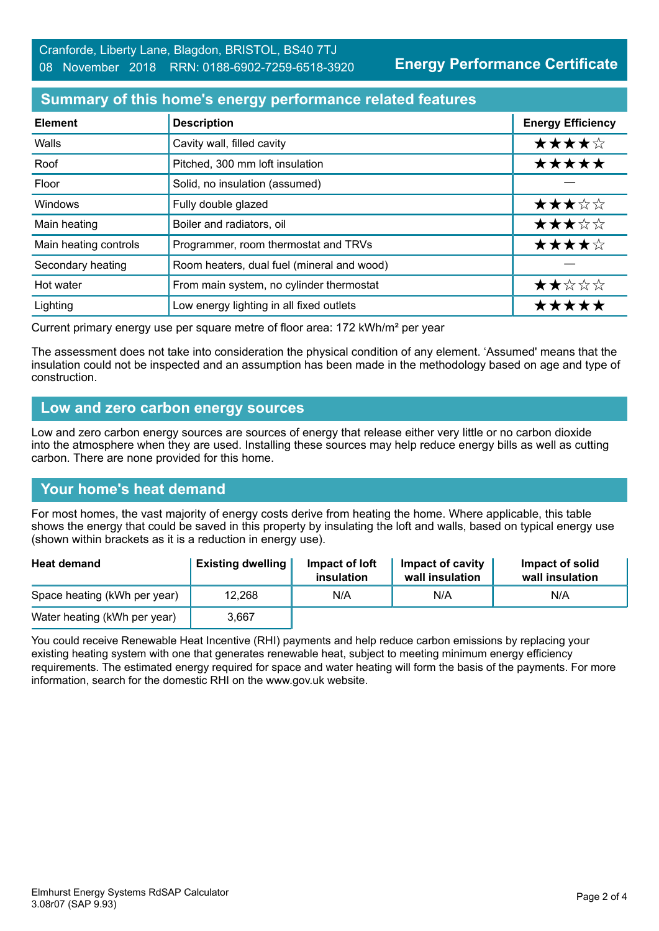**Energy Performance Certificate**

## **Summary of this home's energy performance related features**

| <b>Element</b>        | <b>Description</b>                         | <b>Energy Efficiency</b> |
|-----------------------|--------------------------------------------|--------------------------|
| Walls                 | Cavity wall, filled cavity                 | ★★★★☆                    |
| Roof                  | Pitched, 300 mm loft insulation            | *****                    |
| Floor                 | Solid, no insulation (assumed)             |                          |
| Windows               | Fully double glazed                        | ★★★☆☆                    |
| Main heating          | Boiler and radiators, oil                  | ★★★☆☆                    |
| Main heating controls | Programmer, room thermostat and TRVs       | ★★★★☆                    |
| Secondary heating     | Room heaters, dual fuel (mineral and wood) |                          |
| Hot water             | From main system, no cylinder thermostat   | ★★☆☆☆                    |
| Lighting              | Low energy lighting in all fixed outlets   | *****                    |

Current primary energy use per square metre of floor area: 172 kWh/m² per year

The assessment does not take into consideration the physical condition of any element. 'Assumed' means that the insulation could not be inspected and an assumption has been made in the methodology based on age and type of construction.

#### **Low and zero carbon energy sources**

Low and zero carbon energy sources are sources of energy that release either very little or no carbon dioxide into the atmosphere when they are used. Installing these sources may help reduce energy bills as well as cutting carbon. There are none provided for this home.

## **Your home's heat demand**

For most homes, the vast majority of energy costs derive from heating the home. Where applicable, this table shows the energy that could be saved in this property by insulating the loft and walls, based on typical energy use (shown within brackets as it is a reduction in energy use).

| <b>Heat demand</b>           | <b>Existing dwelling</b> | Impact of loft<br>insulation | Impact of cavity<br>wall insulation | Impact of solid<br>wall insulation |
|------------------------------|--------------------------|------------------------------|-------------------------------------|------------------------------------|
| Space heating (kWh per year) | 12,268                   | N/A                          | N/A                                 | N/A                                |
| Water heating (kWh per year) | 3.667                    |                              |                                     |                                    |

You could receive Renewable Heat Incentive (RHI) payments and help reduce carbon emissions by replacing your existing heating system with one that generates renewable heat, subject to meeting minimum energy efficiency requirements. The estimated energy required for space and water heating will form the basis of the payments. For more information, search for the domestic RHI on the www.gov.uk website.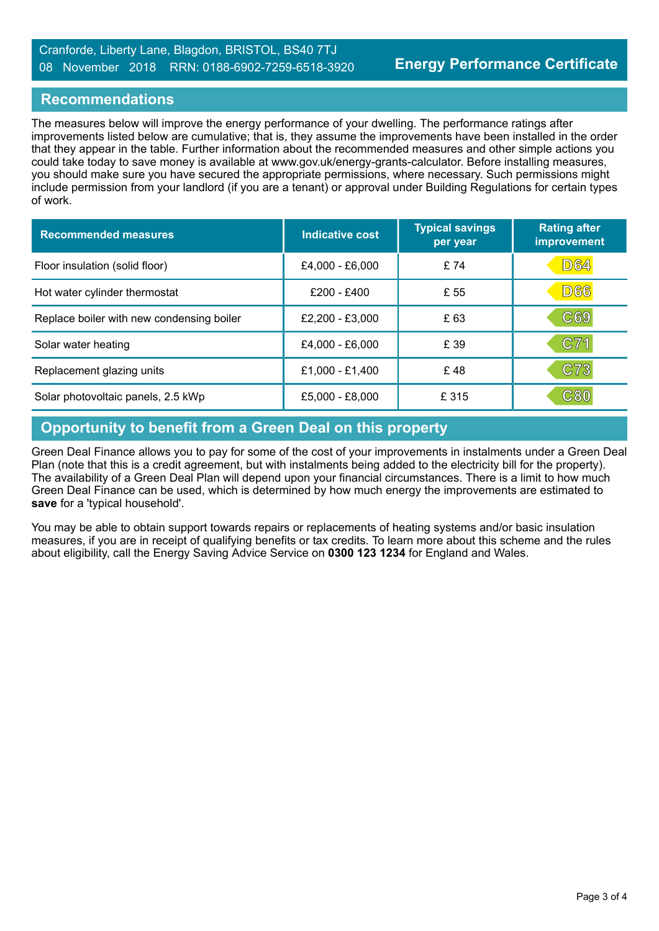#### Cranforde, Liberty Lane, Blagdon, BRISTOL, BS40 7TJ 08 November 2018 RRN: 0188-6902-7259-6518-3920

#### **Recommendations**

The measures below will improve the energy performance of your dwelling. The performance ratings after improvements listed below are cumulative; that is, they assume the improvements have been installed in the order that they appear in the table. Further information about the recommended measures and other simple actions you could take today to save money is available at www.gov.uk/energy-grants-calculator. Before installing measures, you should make sure you have secured the appropriate permissions, where necessary. Such permissions might include permission from your landlord (if you are a tenant) or approval under Building Regulations for certain types of work.

| <b>Recommended measures</b>               | Indicative cost | <b>Typical savings</b><br>per year | <b>Rating after</b><br>improvement |
|-------------------------------------------|-----------------|------------------------------------|------------------------------------|
| Floor insulation (solid floor)            | £4,000 - £6,000 | £74                                | D64                                |
| Hot water cylinder thermostat             | £200 - £400     | £ 55                               | <b>D66</b>                         |
| Replace boiler with new condensing boiler | £2,200 - £3,000 | £ 63                               | C69                                |
| Solar water heating                       | £4,000 - £6,000 | £ 39                               | C71                                |
| Replacement glazing units                 | £1,000 - £1,400 | £48                                | C73                                |
| Solar photovoltaic panels, 2.5 kWp        | £5,000 - £8,000 | £ 315                              | C80                                |

# **Opportunity to benefit from a Green Deal on this property**

Green Deal Finance allows you to pay for some of the cost of your improvements in instalments under a Green Deal Plan (note that this is a credit agreement, but with instalments being added to the electricity bill for the property). The availability of a Green Deal Plan will depend upon your financial circumstances. There is a limit to how much Green Deal Finance can be used, which is determined by how much energy the improvements are estimated to **save** for a 'typical household'.

You mav be able to obtain support towards repairs or replacements of heating systems and/or basic insulation measures, if you are in receipt of qualifying benefits or tax credits. To learn more about this scheme and the rules about eligibility, call the Energy Saving Advice Service on **0300 123 1234** for England and Wales.